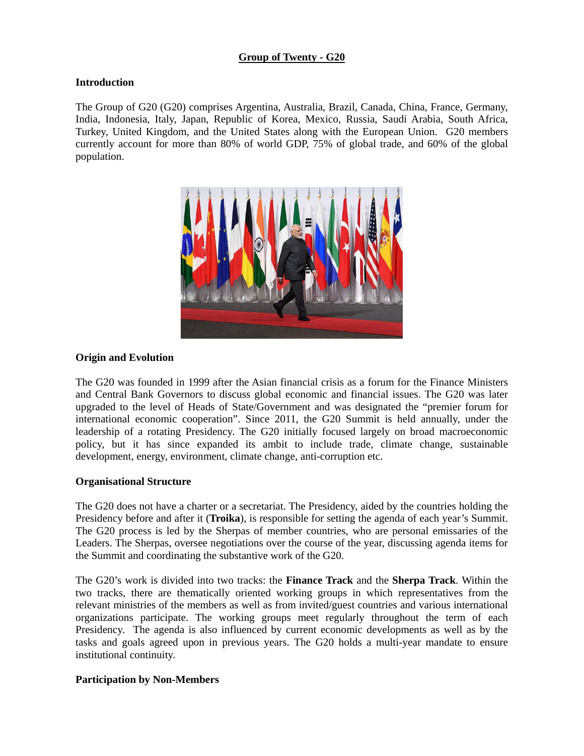### **Group of Twenty - G20**

### **Introduction**

The Group of G20 (G20) comprises Argentina, Australia, Brazil, Canada, China, France, Germany, India, Indonesia, Italy, Japan, Republic of Korea, Mexico, Russia, Saudi Arabia, South Africa, Turkey, United Kingdom, and the United States along with the European Union. G20 members currently account for more than 80% of world GDP, 75% of global trade, and 60% of the global population.



#### **Origin and Evolution**

The G20 was founded in 1999 after the Asian financial crisis as a forum for the Finance Ministers and Central Bank Governors to discuss global economic and financial issues. The G20 was later upgraded to the level of Heads of State/Government and was designated the "premier forum for international economic cooperation". Since 2011, the G20 Summit is held annually, under the leadership of a rotating Presidency. The G20 initially focused largely on broad macroeconomic policy, but it has since expanded its ambit to include trade, climate change, sustainable development, energy, environment, climate change, anti-corruption etc.

#### **Organisational Structure**

The G20 does not have a charter or a secretariat. The Presidency, aided by the countries holding the Presidency before and after it (**Troika**), is responsible for setting the agenda of each year's Summit. The G20 process is led by the Sherpas of member countries, who are personal emissaries of the Leaders. The Sherpas, oversee negotiations over the course of the year, discussing agenda items for the Summit and coordinating the substantive work of the G20.

The G20's work is divided into two tracks: the **Finance Track** and the **Sherpa Track**. Within the two tracks, there are thematically oriented working groups in which representatives from the relevant ministries of the members as well as from invited/guest countries and various international organizations participate. The working groups meet regularly throughout the term of each Presidency. The agenda is also influenced by current economic developments as well as by the tasks and goals agreed upon in previous years. The G20 holds a multi-year mandate to ensure institutional continuity.

#### **Participation by Non-Members**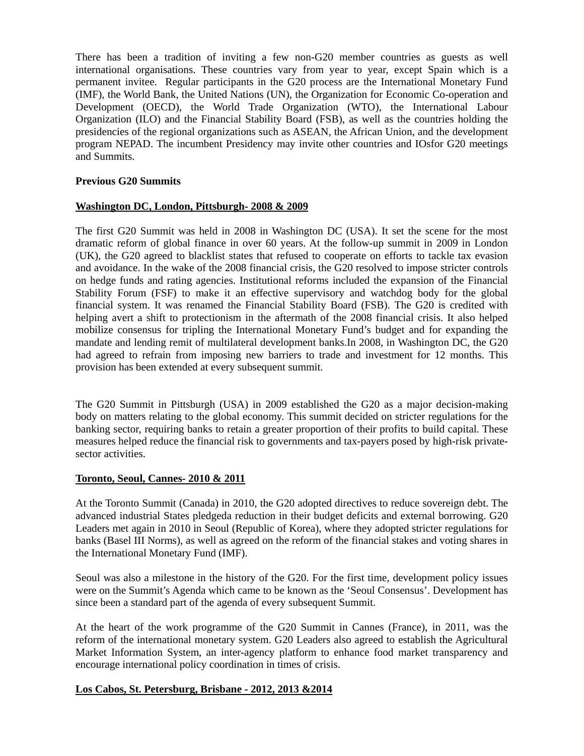There has been a tradition of inviting a few non-G20 member countries as guests as well international organisations. These countries vary from year to year, except Spain which is a permanent invitee. Regular participants in the G20 process are the International Monetary Fund (IMF), the World Bank, the United Nations (UN), the Organization for Economic Co-operation and Development (OECD), the World Trade Organization (WTO), the International Labour Organization (ILO) and the Financial Stability Board (FSB), as well as the countries holding the presidencies of the regional organizations such as ASEAN, the African Union, and the development program NEPAD. The incumbent Presidency may invite other countries and IOsfor G20 meetings and Summits.

### **Previous G20 Summits**

### **Washington DC, London, Pittsburgh- 2008 & 2009**

The first G20 Summit was held in 2008 in Washington DC (USA). It set the scene for the most dramatic reform of global finance in over 60 years. At the follow-up summit in 2009 in London (UK), the G20 agreed to blacklist states that refused to cooperate on efforts to tackle tax evasion and avoidance. In the wake of the 2008 financial crisis, the G20 resolved to impose stricter controls on hedge funds and rating agencies. Institutional reforms included the expansion of the Financial Stability Forum (FSF) to make it an effective supervisory and watchdog body for the global financial system. It was renamed the Financial Stability Board (FSB). The G20 is credited with helping avert a shift to protectionism in the aftermath of the 2008 financial crisis. It also helped mobilize consensus for tripling the International Monetary Fund's budget and for expanding the mandate and lending remit of multilateral development banks.In 2008, in Washington DC, the G20 had agreed to refrain from imposing new barriers to trade and investment for 12 months. This provision has been extended at every subsequent summit.

The G20 Summit in Pittsburgh (USA) in 2009 established the G20 as a major decision-making body on matters relating to the global economy. This summit decided on stricter regulations for the banking sector, requiring banks to retain a greater proportion of their profits to build capital. These measures helped reduce the financial risk to governments and tax-payers posed by high-risk privatesector activities.

#### **Toronto, Seoul, Cannes- 2010 & 2011**

At the Toronto Summit (Canada) in 2010, the G20 adopted directives to reduce sovereign debt. The advanced industrial States pledgeda reduction in their budget deficits and external borrowing. G20 Leaders met again in 2010 in Seoul (Republic of Korea), where they adopted stricter regulations for banks (Basel III Norms), as well as agreed on the reform of the financial stakes and voting shares in the International Monetary Fund (IMF).

Seoul was also a milestone in the history of the G20. For the first time, development policy issues were on the Summit's Agenda which came to be known as the 'Seoul Consensus'. Development has since been a standard part of the agenda of every subsequent Summit.

At the heart of the work programme of the G20 Summit in Cannes (France), in 2011, was the reform of the international monetary system. G20 Leaders also agreed to establish the Agricultural Market Information System, an inter-agency platform to enhance food market transparency and encourage international policy coordination in times of crisis.

#### **Los Cabos, St. Petersburg, Brisbane - 2012, 2013 &2014**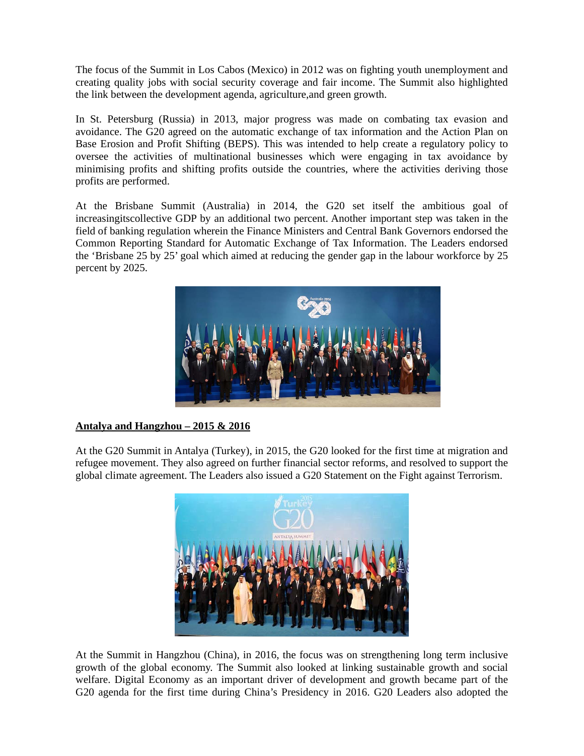The focus of the Summit in Los Cabos (Mexico) in 2012 was on fighting youth unemployment and creating quality jobs with social security coverage and fair income. The Summit also highlighted the link between the development agenda, agriculture,and green growth.

In St. Petersburg (Russia) in 2013, major progress was made on combating tax evasion and avoidance. The G20 agreed on the automatic exchange of tax information and the Action Plan on Base Erosion and Profit Shifting (BEPS). This was intended to help create a regulatory policy to oversee the activities of multinational businesses which were engaging in tax avoidance by minimising profits and shifting profits outside the countries, where the activities deriving those profits are performed.

At the Brisbane Summit (Australia) in 2014, the G20 set itself the ambitious goal of increasingitscollective GDP by an additional two percent. Another important step was taken in the field of banking regulation wherein the Finance Ministers and Central Bank Governors endorsed the Common Reporting Standard for Automatic Exchange of Tax Information. The Leaders endorsed the 'Brisbane 25 by 25' goal which aimed at reducing the gender gap in the labour workforce by 25 percent by 2025.



## **Antalya and Hangzhou – 2015 & 2016**

At the G20 Summit in Antalya (Turkey), in 2015, the G20 looked for the first time at migration and refugee movement. They also agreed on further financial sector reforms, and resolved to support the global climate agreement. The Leaders also issued a G20 Statement on the Fight against Terrorism.



At the Summit in Hangzhou (China), in 2016, the focus was on strengthening long term inclusive growth of the global economy. The Summit also looked at linking sustainable growth and social welfare. Digital Economy as an important driver of development and growth became part of the G20 agenda for the first time during China's Presidency in 2016. G20 Leaders also adopted the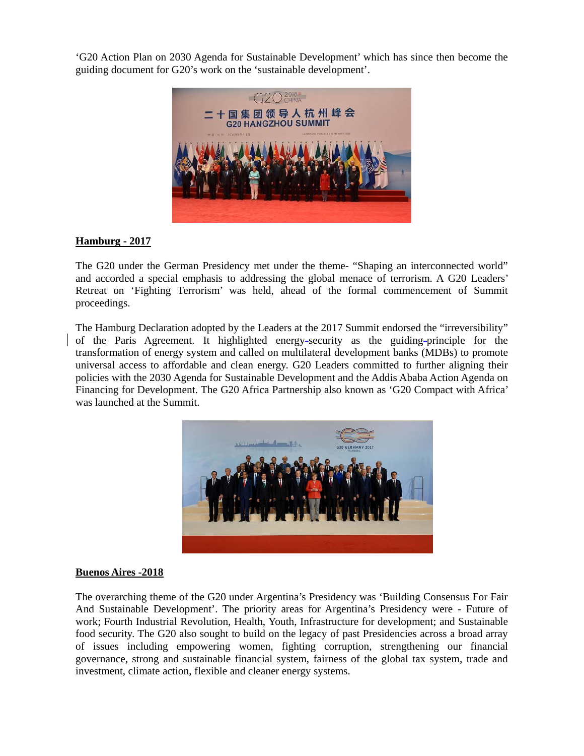'G20 Action Plan on 2030 Agenda for Sustainable Development' which has since then become the guiding document for G20's work on the 'sustainable development'.



# **Hamburg - 2017**

The G20 under the German Presidency met under the theme- "Shaping an interconnected world" and accorded a special emphasis to addressing the global menace of terrorism. A G20 Leaders' Retreat on 'Fighting Terrorism' was held, ahead of the formal commencement of Summit proceedings.

The Hamburg Declaration adopted by the Leaders at the 2017 Summit endorsed the "irreversibility" of the Paris Agreement. It highlighted energy-security as the guiding-principle for the transformation of energy system and called on multilateral development banks (MDBs) to promote universal access to affordable and clean energy. G20 Leaders committed to further aligning their policies with the 2030 Agenda for Sustainable Development and the Addis Ababa Action Agenda on Financing for Development. The G20 Africa Partnership also known as 'G20 Compact with Africa' was launched at the Summit.



## **Buenos Aires -2018**

The overarching theme of the G20 under Argentina's Presidency was 'Building Consensus For Fair And Sustainable Development'. The priority areas for Argentina's Presidency were - Future of work; Fourth Industrial Revolution, Health, Youth, Infrastructure for development; and Sustainable food security. The G20 also sought to build on the legacy of past Presidencies across a broad array of issues including empowering women, fighting corruption, strengthening our financial governance, strong and sustainable financial system, fairness of the global tax system, trade and investment, climate action, flexible and cleaner energy systems.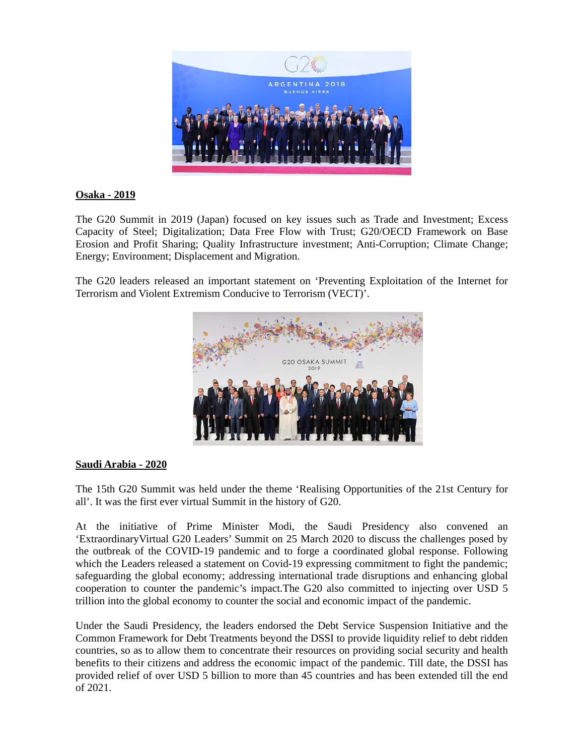

## **Osaka - 2019**

The G20 Summit in 2019 (Japan) focused on key issues such as Trade and Investment; Excess Capacity of Steel; Digitalization; Data Free Flow with Trust; G20/OECD Framework on Base Erosion and Profit Sharing; Quality Infrastructure investment; Anti-Corruption; Climate Change; Energy; Environment; Displacement and Migration.

The G20 leaders released an important statement on 'Preventing Exploitation of the Internet for Terrorism and Violent Extremism Conducive to Terrorism (VECT)'.



## **Saudi Arabia - 2020**

The 15th G20 Summit was held under the theme 'Realising Opportunities of the 21st Century for all'. It was the first ever virtual Summit in the history of G20.

At the initiative of Prime Minister Modi, the Saudi Presidency also convened an 'ExtraordinaryVirtual G20 Leaders' Summit on 25 March 2020 to discuss the challenges posed by the outbreak of the COVID-19 pandemic and to forge a coordinated global response. Following which the Leaders released a statement on Covid-19 expressing commitment to fight the pandemic; safeguarding the global economy; addressing international trade disruptions and enhancing global cooperation to counter the pandemic's impact.The G20 also committed to injecting over USD 5 trillion into the global economy to counter the social and economic impact of the pandemic.

Under the Saudi Presidency, the leaders endorsed the Debt Service Suspension Initiative and the Common Framework for Debt Treatments beyond the DSSI to provide liquidity relief to debt ridden countries, so as to allow them to concentrate their resources on providing social security and health benefits to their citizens and address the economic impact of the pandemic. Till date, the DSSI has provided relief of over USD 5 billion to more than 45 countries and has been extended till the end of 2021.